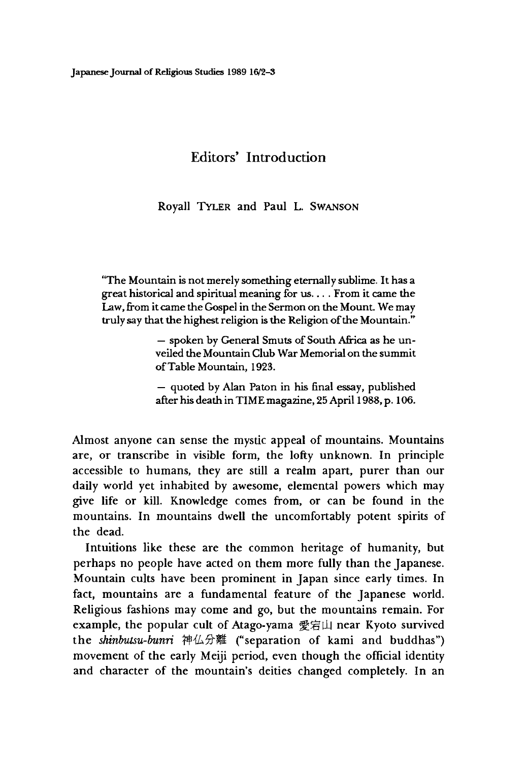# **Editors' Introduction**

#### Royall Tyler and Paul L. Swanson

**"The Mountain is not merely something eternally sublime. It has a** great historical and spiritual meaning for us... From it came the **Law, from it came the Gospel in the Sermon on the Mount. We may truly say that the highest religion is the Religion of the Mountain."**

> **— spoken by General Smuts of South Africa as he unveiled the Mountain Club War Memorial on the summit of Table Mountain, 1923.**

> **— quoted by Alan Paton in his final essay, published** after his death in TIME magazine, 25 April 1988, p. 106.

Almost anyone can sense the mystic appeal of mountains. Mountains are, or transcribe in visible form, the lofty unknown. In principle accessible to humans, they are still a realm apart, purer than our daily world yet inhabited by awesome, elemental powers which may give life or kill. Knowledge comes from, or can be found in the mountains. In mountains dwell the uncomfortably potent spirits of the dead.

Intuitions like these are the common heritage of humanity, but perhaps no people have acted on them more fully than the Japanese. Mountain cults have been prominent in Japan since early times. In fact, mountains are a fundamental feature of the Japanese world. Religious fashions may come and go, but the mountains remain. For example, the popular cult of Atago-yama 愛若山 near Kyoto survived the *shinbutsu-bunri* 神仏分離 ("separation of kami and buddhas") movement of the early Meiji period, even though the official identity and character of the mountain's deities changed completely. In an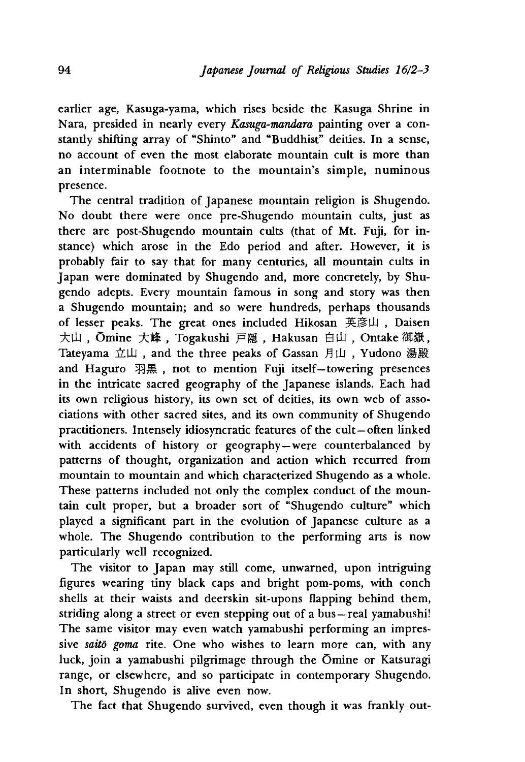earlier age, Kasuga-yama, which rises beside the Kasuga Shrine in Nara, presided in nearly every *Kasuga-mandara* painting over a constantly shifting array of "Shinto" and "Buddhist" deities. In a sense, no account of even the most elaborate mountain cult is more than an interminable footnote to the mountain's simple, numinous presence.

The central tradition of Japanese mountain religion is Shugendo. No doubt there were once pre-Shugendo mountain cults, just as there are post-Shugendo mountain cults (that of Mt. Fuji, for instance) which arose in the Edo period and after. However, it is probably fair to say that for many centuries, all mountain cults in Japan were dominated by Shugendo and, more concretely, by Shugendo adepts. Every mountain famous in song and story was then a Shugendo mountain; and so were hundreds, perhaps thousands of lesser peaks. The great ones included Hikosan 英彦山,Daisen 大山, Ōmine 大峰, Togakushi 戸隠, Hakusan 白山, Ontake 御嶽, Tateyama 立山, and the three peaks of Gassan 月山, Yudono 湯殿 and Haguro 羽黒, not to mention Fuji itself—towering presences in the intricate sacred geography of the Japanese islands. Each had its own religious history, its own set of deities, its own web of associations with other sacred sites, and its own community of Shugendo practitioners. Intensely idiosyncratic features of the cult—often linked with accidents of history or geography—were counterbalanced by patterns of thought, organization and action which recurred from mountain to mountain and which characterized Shugendo as a whole. These patterns included not only the complex conduct of the mountain cult proper, but a broader sort of "Shugendo culture" which played a significant part in the evolution of Japanese culture as a whole. The Shugendo contribution to the performing arts is now particularly well recognized.

The visitor to Japan may still come, unwarned, upon intriguing figures wearing tiny black caps and bright pom-poms, with conch shells at their waists and deerskin sit-upons flapping behind them, striding along a street or even stepping out of a bus—real yamabushi! The same visitor may even watch yamabushi performing an impressive *saito goma* rite. One who wishes to learn more can, with any luck, join a yamabushi pilgrimage through the Omine or Katsuragi range, or elsewhere, and so participate in contemporary Shugendo. In short, Shugendo is alive even now.

The fact that Shugendo survived, even though it was frankly out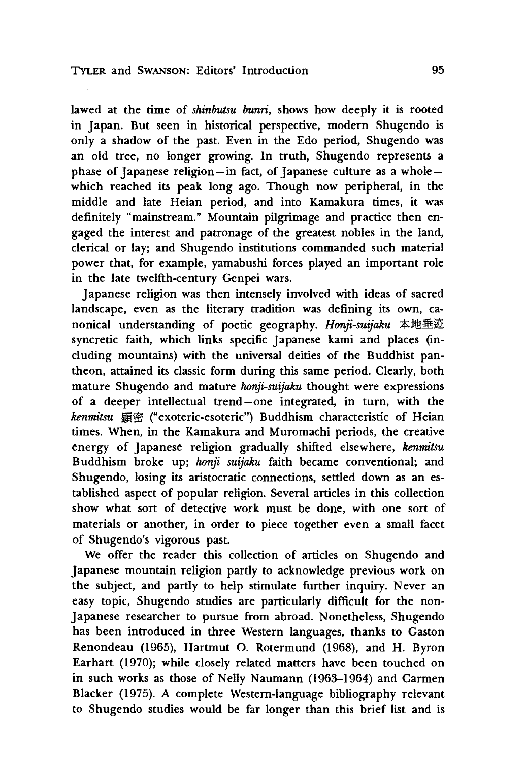lawed at the time of *shinbutsu bunri,* shows how deeply it is rooted in Japan. But seen in historical perspective, modern Shugendo is only a shadow of the past. Even in the Edo period, Shugendo was an old tree, no longer growing. In truth, Shugendo represents a phase of Japanese religion—in fact, of Japanese culture as a whole which reached its peak long ago. Though now peripheral, in the middle and late Heian period, and into Kamakura times, it was definitely "mainstream." Mountain pilgrimage and practice then engaged the interest and patronage of the greatest nobles in the land, clerical or lay; and Shugendo institutions commanded such material power that, for example, yamabushi forces played an important role in the late twelfth-century Gcnpei wars.

Japanese religion was then intensely involved with ideas of sacred landscape, even as the literary tradition was defining its own, canonical understanding of poetic geography. *Honji-suijaku* 本地垂处 syncretic faith, which links specific Japanese kami and places (including mountains) with the universal deities of the Buddhist pantheon, attained its classic form during this same period. Clearly, both mature Shugendo and mature *honji-suijaku* thought were expressions of a deeper intellectual trend—one integrated, in turn, with the *kenmitsu* 顕 密 ("exoteric-esoteric")Buddhism characteristic of Heian times. When, in the Kamakura and Muromachi periods, the creative energy of Japanese religion gradually shifted elsewhere, *kenmitsu* Buddhism broke up; *honji suijaku* faith became conventional; and Shugendo, losing its aristocratic connections, settled down as an established aspect of popular religion. Several articles in this collection show what sort of detective work must be done, with one sort of materials or another, in order to piece together even a small facet of Shugendo's vigorous past.

We offer the reader this collection of articles on Shugendo and Japanese mountain religion partly to acknowledge previous work on the subject, and partly to help stimulate further inquiry. Never an easy topic, Shugendo studies are particularly difficult for the non-Japanese researcher to pursue from abroad. Nonetheless, Shugendo has been introduced in three Western languages, thanks to Gaston Renondeau (1965), Hartmut O. Rotermund (1968), and H. Byron Earhart (1970); while closely related matters have been touched on in such works as those of Nelly Naumann (1963-1964) and Carmen Blacker (1975). A complete Western-language bibliography relevant to Shugendo studies would be far longer than this brief list and is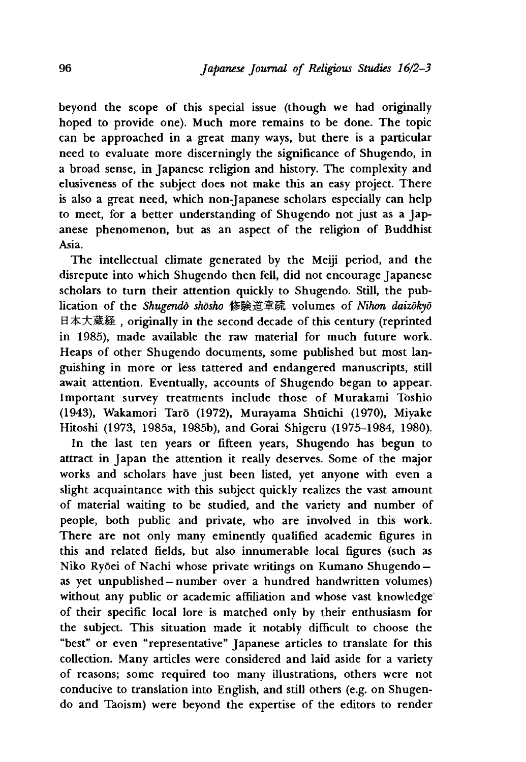beyond the scope of this special issue (though we had originally hoped to provide one). Much more remains to be done. The topic can be approached in a great many ways, but there is a particular need to evaluate more discerningly the significance of Shugendo, in a broad sense, in Japanese religion and history. The complexity and elusiveness of the subject does not make this an easy project. There is also a great need, which non-Japanese scholars especially can help to meet, for a better understanding of Shugendo not just as a Japanese phenomenon, but as an aspect of the religion of Buddhist Asia.

The intellectual climate generated by the Meiji period, and the disrepute into which Shugendo then fell, did not encourage Japanese scholars to turn their attention quickly to Shugendo. Still, the publication of the *Shugendo shosho* 修験道章疏 volumes of *Nihon daizokyd* 日本大蔵経, originally in the second decade of this century (reprinted in 1985), made available the raw material for much future work. Heaps of other Shugendo documents, some published but most languishing in more or less tattered and endangered manuscripts, still await attention. Eventually, accounts of Shugendo began to appear. Important survey treatments include those of Murakami Toshio (1943), Wakamori Tarō (1972), Murayama Shūichi (1970), Miyake Hitoshi (1973, 1985a, 1985b), and Gorai Shigeru (1975-1984, 1980).

In the last ten years or fifteen years, Shugendo has begun to attract in Japan the attention it really deserves. Some of the major works and scholars have just been listed, yet anyone with even a slight acquaintance with this subject quickly realizes the vast amount of material waiting to be studied, and the variety and number of people, both public and private, who are involved in this work. There are not only many eminently qualified academic figures in this and related fields, but also innumerable local figures (such as Niko Ryōei of Nachi whose private writings on Kumano Shugendoas yet unpublished — number over a hundred handwritten volumes) without any public or academic affiliation and whose vast knowledge' of their specific local lore is matched only by their enthusiasm for the subject. This situation made it notably difficult to choose the "best" or even "representative" Japanese articles to translate for this collection. Many articles were considered and laid aside for a variety of reasons; some required too many illustrations, others were not conducive to translation into English, and still others (e.g. on Shugendo and Taoism) were beyond the expertise of the editors to render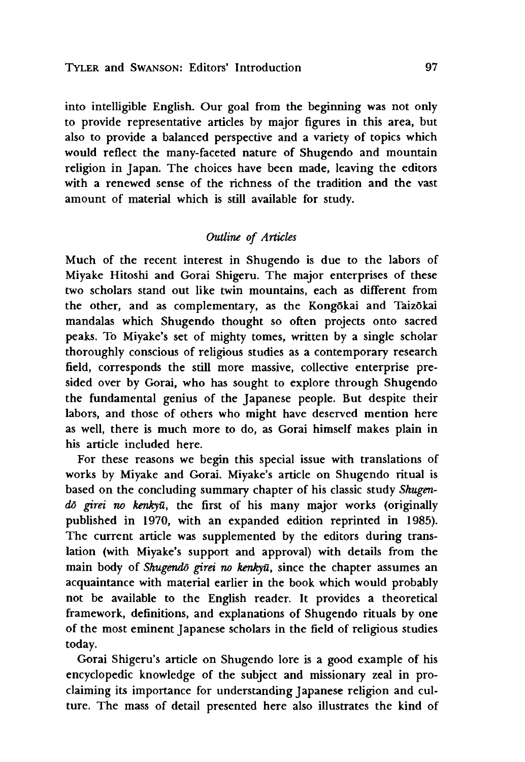#### TYLER and SWANSON: Editors' Introduction 97

into intelligible English. Our goal from the beginning was not only to provide representative articles by major figures in this area, but also to provide a balanced perspective and a variety of topics which would reflect the many-faceted nature of Shugendo and mountain religion in Japan. The choices have been made, leaving the editors with a renewed sense of the richness of the tradition and the vast amount of material which is still available for study.

### **Outline of Articles**

Much of the recent interest in Shugendo is due to the labors of Miyake Hitoshi and Gorai Shigeru. The major enterprises of these two scholars stand out like twin mountains, each as different from the other, and as complementary, as the Kongokai and Taizokai mandalas which Shugendo thought so often projects onto sacred peaks. To Miyake's set of mighty tomes, written by a single scholar thoroughly conscious of religious studies as a contemporary research field, corresponds the still more massive, collective enterprise presided over by Gorai, who has sought to explore through Shugendo the fundamental genius of the Japanese people. But despite their labors, and those of others who might have deserved mention here as well, there is much more to do, as Gorai himself makes plain in his article included here.

For these reasons we begin this special issue with translations of works by Miyake and Gorai. Miyake's article on Shugendo ritual is based on the concluding summary chapter of his classic study *Shugendo girei no kenkyu,* the first of his many major works (originally published in 1970, with an expanded edition reprinted in 1985). The current article was supplemented by the editors during translation (with Miyake's support and approval) with details from the main body of *Shugendō girei no kenkyū*, since the chapter assumes an acquaintance with material earlier in the book which would probably not be available to the English reader. It provides a theoretical framework, definitions, and explanations of Shugendo rituals by one of the most eminent Japanese scholars in the field of religious studies today.

Gorai Shigeru's article on Shugendo lore is a good example of his encyclopedic knowledge of the subject and missionary zeal in proclaiming its importance for understanding Japanese religion and culture. The mass of detail presented here also illustrates the kind of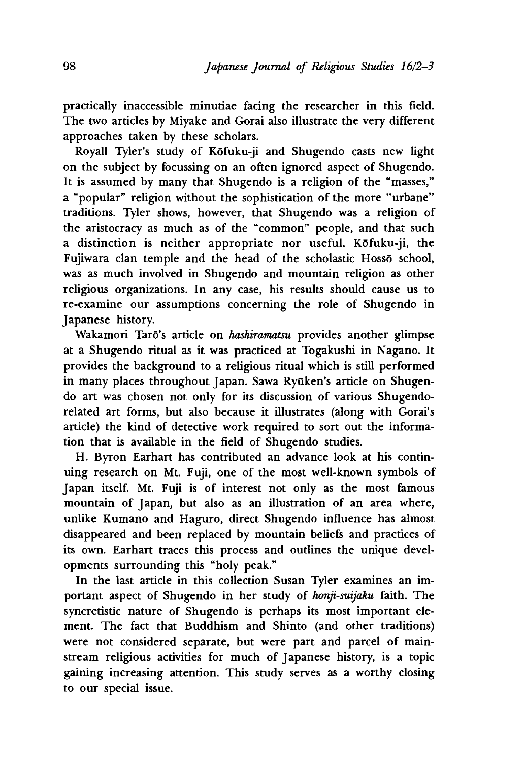practically inaccessible minutiae facing the researcher in this field. The two articles by Miyake and Gorai also illustrate the very different approaches taken by these scholars.

Royall Tyler's study of Kofuku-ji and Shugendo casts new light on the subject by focussing on an often ignored aspect of Shugendo. It is assumed by many that Shugendo is a religion of the "masses," a "popular" religion without the sophistication of the more "urbane" traditions. Tyler shows, however, that Shugendo was a religion of the aristocracy as much as of the "common" people, and that such a distinction is neither appropriate nor useful. Kofuku-ji, the Fujiwara clan temple and the head of the scholastic Hosso school, was as much involved in Shugendo and mountain religion as other religious organizations. In any case, his results should cause us to re-examine our assumptions concerning the role of Shugendo in Japanese history.

Wakamori Tar5's article on *hashiramatsu* provides another glimpse at a Shugendo ritual as it was practiced at Togakushi in Nagano. It provides the background to a religious ritual which is still performed in many places throughout Japan. Sawa Ryūken's article on Shugendo art was chosen not only for its discussion of various Shugendorelated art forms, but also because it illustrates (along with Gorai's article) the kind of detective work required to sort out the information that is available in the field of Shugendo studies.

H. Byron Earhart has contributed an advance look at his continuing research on Mt. Fuji, one of the most well-known symbols of Japan itself. Mt. Fuji is of interest not only as the most famous mountain of Japan, but also as an illustration of an area where, unlike Kumano and Haguro, direct Shugendo influence has almost disappeared and been replaced by mountain beliefs and practices of its own. Earhart traces this process and outlines the unique developments surrounding this "holy peak."

In the last article in this collection Susan Tyler examines an important aspect of Shugendo in her study of *honji-suijaku* faith. The syncretistic nature of Shugendo is perhaps its most important element. The fact that Buddhism and Shinto (and other traditions) were not considered separate, but were part and parcel of mainstream religious activities for much of Japanese history, is a topic gaining increasing attention. This study serves as a worthy closing to our special issue.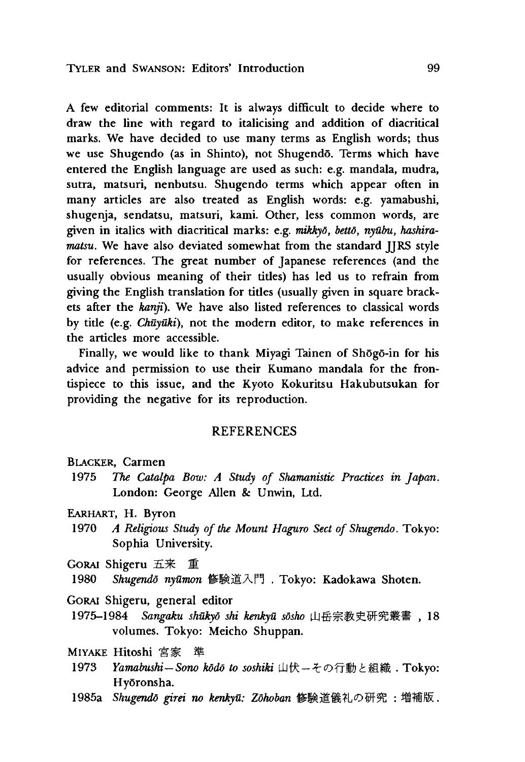A few editorial comments: It is always difficult to decide where to draw the line with regard to italicising and addition of diacritical marks. We have decided to use many terms as English words; thus we use Shugendo (as in Shinto), not Shugendō. Terms which have entered the English language are used as such: e.g. mandala, mudra, sutra, matsuri, nenbutsu. Shugendo terms which appear often in many articles are also treated as English words: e.g. yamabushi, shugenja, sendatsu, matsuri, kami. Other, less common words, are given in italics with diacritical marks: e.g. *mikkyd, bettd nyubu, hashira*matsu. We have also deviated somewhat from the standard JJRS style for references. The great number of Japanese references (and the usually obvious meaning of their titles) has led us to refrain from giving the English translation for titles (usually given in square brackets after the *kanji).* We have also listed references to classical words by title (e.g. *Ckuyuki),* not the modern editor, to make references in the articles more accessible.

Finally, we would like to thank Miyagi Tainen of Shogo-in for his advice and permission to use their Kumano mandala for the frontispiece to this issue, and the Kyoto Kokuritsu Hakubutsukan for providing the negative for its reproduction.

## **REFERENCES**

Blacker, Carmen

- 1975 *The Catalpa Bow: A Study of Shamanistic Practices in Japan.* London: George Allen *8c* Unwin, Ltd.
- EARHART, H. Byron
- 1970 *A Religious Study of the Mount Haguro Sect of Shugendo*. Tokyo: Sophia University.

Gorai Shigeru 五来重

- 1980 *Shugendo nyumon* 修験道入門. Tokyo: Kadokawa Shoten.
- Gorai Shigeru, general editor
- 1975-1984 *Sangaku shukyd shi kenkyu sosho* 山岳宗教史研究叢書,18 volumes. Tokyo: Meicho Shuppan.

MIYAKE Hitoshi 宮家 準

- 1973 *Yamabushi-Sono kodo to soshiki* 山伏–その行動と組織. Tokyo: Hyoronsha.
- 1985a *Shugendo girei no kenkyu: Zohoban* 修験道儀礼の研究:増補版.